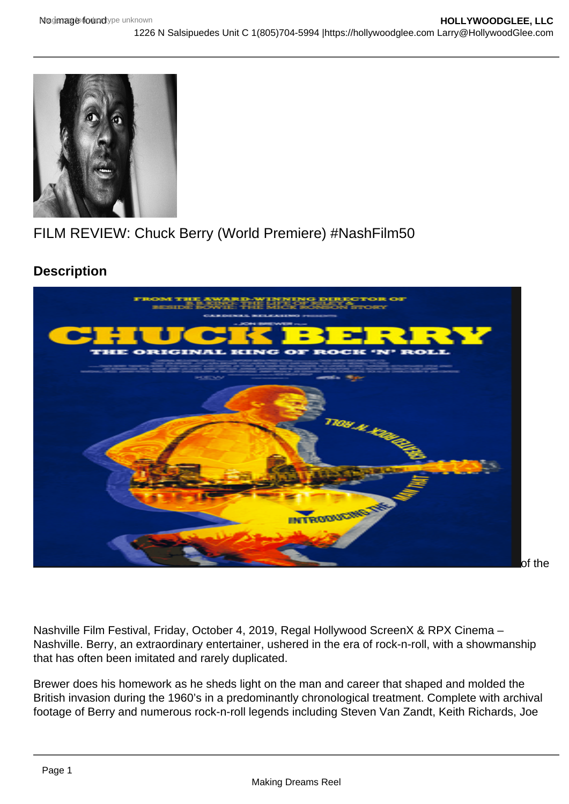## FILM REVIEW: Chuck Berry (World Premiere) #NashFilm50

**Description** 

Posted by Larry Gleeson

[Chuck Berry](https://www.imdb.com/title/tt8972378/?ref_=ttfc_fc_tt), directed by Ron Brewer, made its world premiere at the 50th Anniversary

Nashville Film Festival, Friday, October 4, 2019, Regal Hollywood ScreenX & RPX Cinema – Nashville. Berry, an extraordinary entertainer, ushered in the era of rock-n-roll, with a showmanship that has often been imitated and rarely duplicated.

Brewer does his homework as he sheds light on the man and career that shaped and molded the British invasion during the 1960's in a predominantly chronological treatment. Complete with archival footage of Berry and numerous rock-n-roll legends including Steven Van Zandt, Keith Richards, Joe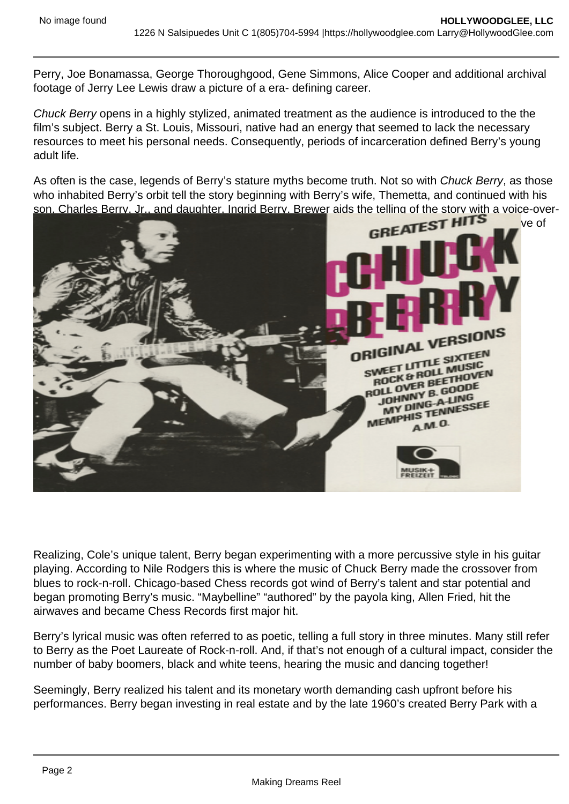Perry, Joe Bonamassa, George Thoroughgood, Gene Simmons, Alice Cooper and additional archival footage of Jerry Lee Lewis draw a picture of a era- defining career.

Chuck Berry opens in a highly stylized, animated treatment as the audience is introduced to the the film's subject. Berry a St. Louis, Missouri, native had an energy that seemed to lack the necessary resources to meet his personal needs. Consequently, periods of incarceration defined Berry's young adult life.

As often is the case, legends of Berry's stature myths become truth. Not so with Chuck Berry, as those who inhabited Berry's orbit tell the story beginning with Berry's wife, Themetta, and continued with his son, Charles Berry, Jr., and daughter, Ingrid Berry. Brewer aids the telling of the story with a voice-over-



Realizing, Cole's unique talent, Berry began experimenting with a more percussive style in his guitar playing. According to Nile Rodgers this is where the music of Chuck Berry made the crossover from blues to rock-n-roll. Chicago-based Chess records got wind of Berry's talent and star potential and began promoting Berry's music. "Maybelline" "authored" by the payola king, Allen Fried, hit the airwaves and became Chess Records first major hit.

Berry's lyrical music was often referred to as poetic, telling a full story in three minutes. Many still refer to Berry as the Poet Laureate of Rock-n-roll. And, if that's not enough of a cultural impact, consider the number of baby boomers, black and white teens, hearing the music and dancing together!

Seemingly, Berry realized his talent and its monetary worth demanding cash upfront before his performances. Berry began investing in real estate and by the late 1960's created Berry Park with a